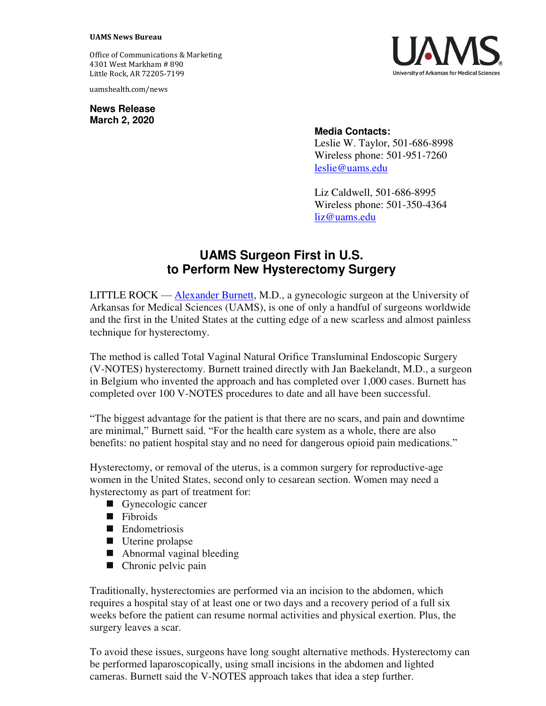## **UAMS News Bureau**

Office of Communications & Marketing 4301 West Markham # 890 Little Rock, AR 72205-7199

uamshealth.com/news

**News Release March 2, 2020**



## **Media Contacts:**

Leslie W. Taylor, 501-686-8998 Wireless phone: 501-951-7260 [leslie@uams.edu](mailto:leslie@uams.edu)

Liz Caldwell, 501-686-8995 Wireless phone: 501-350-4364 [liz@uams.edu](mailto:liz@uams.edu)

## **UAMS Surgeon First in U.S. to Perform New Hysterectomy Surgery**

LITTLE ROCK — [Alexander Burnett,](https://uamshealth.com/provider/alexander-f-burnett/) M.D., a gynecologic surgeon at the University of Arkansas for Medical Sciences (UAMS), is one of only a handful of surgeons worldwide and the first in the United States at the cutting edge of a new scarless and almost painless technique for hysterectomy.

The method is called Total Vaginal Natural Orifice Transluminal Endoscopic Surgery (V-NOTES) hysterectomy. Burnett trained directly with Jan Baekelandt, M.D., a surgeon in Belgium who invented the approach and has completed over 1,000 cases. Burnett has completed over 100 V-NOTES procedures to date and all have been successful.

"The biggest advantage for the patient is that there are no scars, and pain and downtime are minimal," Burnett said. "For the health care system as a whole, there are also benefits: no patient hospital stay and no need for dangerous opioid pain medications."

Hysterectomy, or removal of the uterus, is a common surgery for reproductive-age women in the United States, second only to cesarean section. Women may need a hysterectomy as part of treatment for:

- Gynecologic cancer
- Fibroids
- **Endometriosis**
- Uterine prolapse
- Abnormal vaginal bleeding
- Chronic pelvic pain

Traditionally, hysterectomies are performed via an incision to the abdomen, which requires a hospital stay of at least one or two days and a recovery period of a full six weeks before the patient can resume normal activities and physical exertion. Plus, the surgery leaves a scar.

To avoid these issues, surgeons have long sought alternative methods. Hysterectomy can be performed laparoscopically, using small incisions in the abdomen and lighted cameras. Burnett said the V-NOTES approach takes that idea a step further.